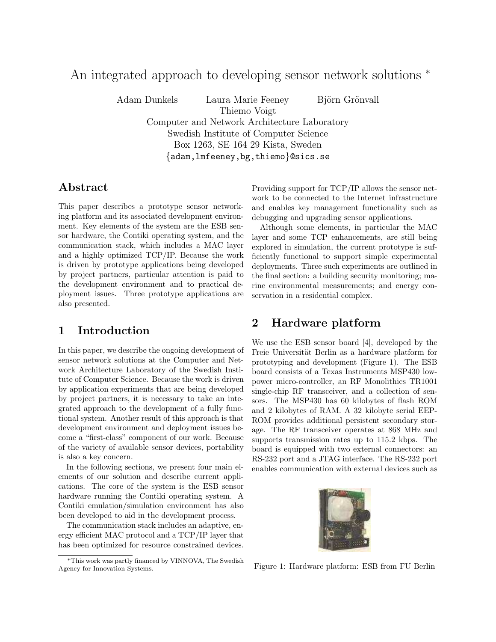# An integrated approach to developing sensor network solutions <sup>∗</sup>

Adam Dunkels Laura Marie Feeney Björn Grönvall

Thiemo Voigt Computer and Network Architecture Laboratory Swedish Institute of Computer Science Box 1263, SE 164 29 Kista, Sweden {adam,lmfeeney,bg,thiemo}@sics.se

### Abstract

This paper describes a prototype sensor networking platform and its associated development environment. Key elements of the system are the ESB sensor hardware, the Contiki operating system, and the communication stack, which includes a MAC layer and a highly optimized TCP/IP. Because the work is driven by prototype applications being developed by project partners, particular attention is paid to the development environment and to practical deployment issues. Three prototype applications are also presented.

### 1 Introduction

In this paper, we describe the ongoing development of sensor network solutions at the Computer and Network Architecture Laboratory of the Swedish Institute of Computer Science. Because the work is driven by application experiments that are being developed by project partners, it is necessary to take an integrated approach to the development of a fully functional system. Another result of this approach is that development environment and deployment issues become a "first-class" component of our work. Because of the variety of available sensor devices, portability is also a key concern.

In the following sections, we present four main elements of our solution and describe current applications. The core of the system is the ESB sensor hardware running the Contiki operating system. A Contiki emulation/simulation environment has also been developed to aid in the development process.

The communication stack includes an adaptive, energy efficient MAC protocol and a TCP/IP layer that has been optimized for resource constrained devices. Providing support for TCP/IP allows the sensor network to be connected to the Internet infrastructure and enables key management functionality such as debugging and upgrading sensor applications.

Although some elements, in particular the MAC layer and some TCP enhancements, are still being explored in simulation, the current prototype is sufficiently functional to support simple experimental deployments. Three such experiments are outlined in the final section: a building security monitoring; marine environmental measurements; and energy conservation in a residential complex.

### 2 Hardware platform

We use the ESB sensor board [4], developed by the Freie Universität Berlin as a hardware platform for prototyping and development (Figure 1). The ESB board consists of a Texas Instruments MSP430 lowpower micro-controller, an RF Monolithics TR1001 single-chip RF transceiver, and a collection of sensors. The MSP430 has 60 kilobytes of flash ROM and 2 kilobytes of RAM. A 32 kilobyte serial EEP-ROM provides additional persistent secondary storage. The RF transceiver operates at 868 MHz and supports transmission rates up to 115.2 kbps. The board is equipped with two external connectors: an RS-232 port and a JTAG interface. The RS-232 port enables communication with external devices such as



Figure 1: Hardware platform: ESB from FU Berlin

<sup>∗</sup>This work was partly financed by VINNOVA, The Swedish Agency for Innovation Systems.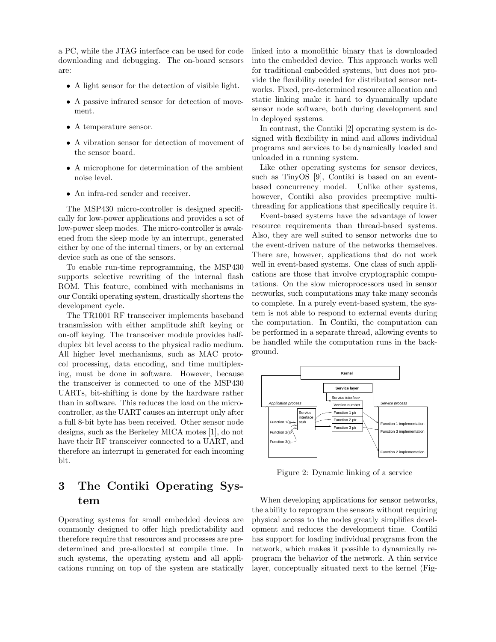a PC, while the JTAG interface can be used for code downloading and debugging. The on-board sensors are:

- A light sensor for the detection of visible light.
- A passive infrared sensor for detection of movement.
- A temperature sensor.
- A vibration sensor for detection of movement of the sensor board.
- A microphone for determination of the ambient noise level.
- An infra-red sender and receiver.

The MSP430 micro-controller is designed specifically for low-power applications and provides a set of low-power sleep modes. The micro-controller is awakened from the sleep mode by an interrupt, generated either by one of the internal timers, or by an external device such as one of the sensors.

To enable run-time reprogramming, the MSP430 supports selective rewriting of the internal flash ROM. This feature, combined with mechanisms in our Contiki operating system, drastically shortens the development cycle.

The TR1001 RF transceiver implements baseband transmission with either amplitude shift keying or on-off keying. The transceiver module provides halfduplex bit level access to the physical radio medium. All higher level mechanisms, such as MAC protocol processing, data encoding, and time multiplexing, must be done in software. However, because the transceiver is connected to one of the MSP430 UARTs, bit-shifting is done by the hardware rather than in software. This reduces the load on the microcontroller, as the UART causes an interrupt only after a full 8-bit byte has been received. Other sensor node designs, such as the Berkeley MICA motes [1], do not have their RF transceiver connected to a UART, and therefore an interrupt in generated for each incoming bit.

## 3 The Contiki Operating System

Operating systems for small embedded devices are commonly designed to offer high predictability and therefore require that resources and processes are predetermined and pre-allocated at compile time. In such systems, the operating system and all applications running on top of the system are statically linked into a monolithic binary that is downloaded into the embedded device. This approach works well for traditional embedded systems, but does not provide the flexibility needed for distributed sensor networks. Fixed, pre-determined resource allocation and static linking make it hard to dynamically update sensor node software, both during development and in deployed systems.

In contrast, the Contiki [2] operating system is designed with flexibility in mind and allows individual programs and services to be dynamically loaded and unloaded in a running system.

Like other operating systems for sensor devices, such as TinyOS [9], Contiki is based on an eventbased concurrency model. Unlike other systems, however, Contiki also provides preemptive multithreading for applications that specifically require it.

Event-based systems have the advantage of lower resource requirements than thread-based systems. Also, they are well suited to sensor networks due to the event-driven nature of the networks themselves. There are, however, applications that do not work well in event-based systems. One class of such applications are those that involve cryptographic computations. On the slow microprocessors used in sensor networks, such computations may take many seconds to complete. In a purely event-based system, the system is not able to respond to external events during the computation. In Contiki, the computation can be performed in a separate thread, allowing events to be handled while the computation runs in the background.



Figure 2: Dynamic linking of a service

When developing applications for sensor networks, the ability to reprogram the sensors without requiring physical access to the nodes greatly simplifies development and reduces the development time. Contiki has support for loading individual programs from the network, which makes it possible to dynamically reprogram the behavior of the network. A thin service layer, conceptually situated next to the kernel (Fig-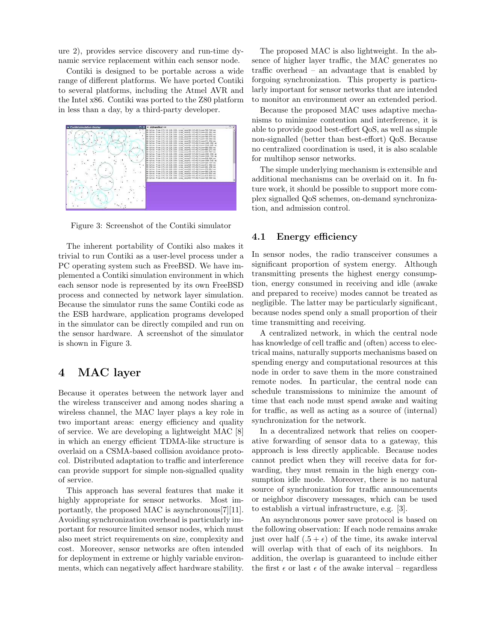ure 2), provides service discovery and run-time dynamic service replacement within each sensor node.

Contiki is designed to be portable across a wide range of different platforms. We have ported Contiki to several platforms, including the Atmel AVR and the Intel x86. Contiki was ported to the Z80 platform in less than a day, by a third-party developer.



Figure 3: Screenshot of the Contiki simulator

The inherent portability of Contiki also makes it trivial to run Contiki as a user-level process under a PC operating system such as FreeBSD. We have implemented a Contiki simulation environment in which each sensor node is represented by its own FreeBSD process and connected by network layer simulation. Because the simulator runs the same Contiki code as the ESB hardware, application programs developed in the simulator can be directly compiled and run on the sensor hardware. A screenshot of the simulator is shown in Figure 3.

### 4 MAC layer

Because it operates between the network layer and the wireless transceiver and among nodes sharing a wireless channel, the MAC layer plays a key role in two important areas: energy efficiency and quality of service. We are developing a lightweight MAC [8] in which an energy efficient TDMA-like structure is overlaid on a CSMA-based collision avoidance protocol. Distributed adaptation to traffic and interference can provide support for simple non-signalled quality of service.

This approach has several features that make it highly appropriate for sensor networks. Most importantly, the proposed MAC is asynchronous[7][11]. Avoiding synchronization overhead is particularly important for resource limited sensor nodes, which must also meet strict requirements on size, complexity and cost. Moreover, sensor networks are often intended for deployment in extreme or highly variable environments, which can negatively affect hardware stability.

The proposed MAC is also lightweight. In the absence of higher layer traffic, the MAC generates no traffic overhead – an advantage that is enabled by forgoing synchronization. This property is particularly important for sensor networks that are intended to monitor an environment over an extended period.

Because the proposed MAC uses adaptive mechanisms to minimize contention and interference, it is able to provide good best-effort QoS, as well as simple non-signalled (better than best-effort) QoS. Because no centralized coordination is used, it is also scalable for multihop sensor networks.

The simple underlying mechanism is extensible and additional mechanisms can be overlaid on it. In future work, it should be possible to support more complex signalled QoS schemes, on-demand synchronization, and admission control.

#### 4.1 Energy efficiency

In sensor nodes, the radio transceiver consumes a significant proportion of system energy. Although transmitting presents the highest energy consumption, energy consumed in receiving and idle (awake and prepared to receive) modes cannot be treated as negligible. The latter may be particularly significant, because nodes spend only a small proportion of their time transmitting and receiving.

A centralized network, in which the central node has knowledge of cell traffic and (often) access to electrical mains, naturally supports mechanisms based on spending energy and computational resources at this node in order to save them in the more constrained remote nodes. In particular, the central node can schedule transmissions to minimize the amount of time that each node must spend awake and waiting for traffic, as well as acting as a source of (internal) synchronization for the network.

In a decentralized network that relies on cooperative forwarding of sensor data to a gateway, this approach is less directly applicable. Because nodes cannot predict when they will receive data for forwarding, they must remain in the high energy consumption idle mode. Moreover, there is no natural source of synchronization for traffic announcements or neighbor discovery messages, which can be used to establish a virtual infrastructure, e.g. [3].

An asynchronous power save protocol is based on the following observation: If each node remains awake just over half  $(.5 + \epsilon)$  of the time, its awake interval will overlap with that of each of its neighbors. In addition, the overlap is guaranteed to include either the first  $\epsilon$  or last  $\epsilon$  of the awake interval – regardless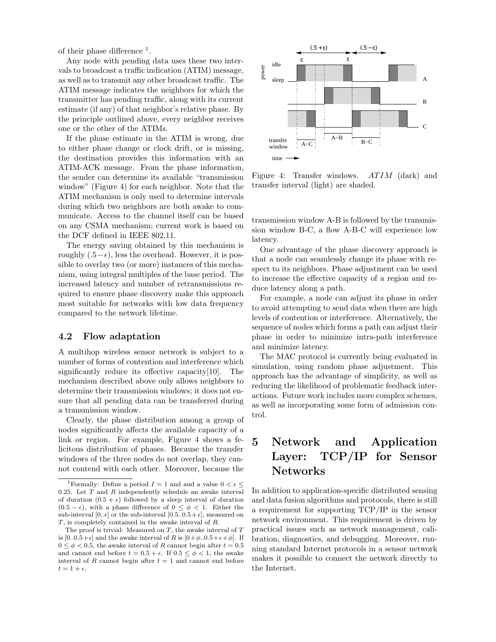of their phase difference  $<sup>1</sup>$ .</sup>

Any node with pending data uses these two intervals to broadcast a traffic indication (ATIM) message, as well as to transmit any other broadcast traffic. The ATIM message indicates the neighbors for which the transmitter has pending traffic, along with its current estimate (if any) of that neighbor's relative phase. By the principle outlined above, every neighbor receives one or the other of the ATIMs.

If the phase estimate in the ATIM is wrong, due to either phase change or clock drift, or is missing, the destination provides this information with an ATIM-ACK message. From the phase information, the sender can determine its available "transmission window" (Figure 4) for each neighbor. Note that the ATIM mechanism is only used to determine intervals during which two neighbors are both awake to communicate. Access to the channel itself can be based on any CSMA mechanism; current work is based on the DCF defined in IEEE 802.11.

The energy saving obtained by this mechanism is roughly  $(.5-\epsilon)$ , less the overhead. However, it is possible to overlay two (or more) instances of this mechanism, using integral multiples of the base period. The increased latency and number of retransmissions required to ensure phase discovery make this approach most suitable for networks with low data frequency compared to the network lifetime.

#### 4.2 Flow adaptation

A multihop wireless sensor network is subject to a number of forms of contention and interference which significantly reduce its effective capacity[10]. The mechanism described above only allows neighbors to determine their transmission windows; it does not ensure that all pending data can be transferred during a transmission window.

Clearly, the phase distribution among a group of nodes significantly affects the available capacity of a link or region. For example, Figure 4 shows a felicitous distribution of phases. Because the transfer windows of the three nodes do not overlap, they cannot contend with each other. Moreover, because the



Figure 4: Transfer windows. ATIM (dark) and transfer interval (light) are shaded.

transmission window A-B is followed by the transmission window B-C, a flow A-B-C will experience low latency.

One advantage of the phase discovery approach is that a node can seamlessly change its phase with respect to its neighbors. Phase adjustment can be used to increase the effective capacity of a region and reduce latency along a path.

For example, a node can adjust its phase in order to avoid attempting to send data when there are high levels of contention or interference. Alternatively, the sequence of nodes which forms a path can adjust their phase in order to minimize intra-path interference and minimize latency.

The MAC protocol is currently being evaluated in simulation, using random phase adjustment. This approach has the advantage of simplicity, as well as reducing the likelihood of problematic feedback interactions. Future work includes more complex schemes, as well as incorporating some form of admission control.

# 5 Network and Application Layer: TCP/IP for Sensor Networks

In addition to application-specific distributed sensing and data fusion algorithms and protocols, there is still a requirement for supporting TCP/IP in the sensor network environment. This requirement is driven by practical issues such as network management, calibration, diagnostics, and debugging. Moreover, running standard Internet protocols in a sensor network makes it possible to connect the network directly to the Internet.

<sup>&</sup>lt;sup>1</sup>Formally: Define a period  $I = 1$  and and a value  $0 < \epsilon$ 0.25. Let  $T$  and  $R$  independently schedule an awake interval of duration  $(0.5 + \epsilon)$  followed by a sleep interval of duration  $(0.5 - \epsilon)$ , with a phase difference of  $0 \le \phi \le 1$ . Either the sub-interval  $[0..\epsilon]$  or the sub-interval  $[0.5..0.5+\epsilon]$ , measured on T, is completely contained in the awake interval of R.

The proof is trivial: Measured on  $T$ , the awake interval of  $T$ is  $[0.0.5+\epsilon]$  and the awake interval of R is  $[0+\phi.0.5+\epsilon+\phi]$ . If  $0 \leq \phi \leq 0.5$ , the awake interval of R cannot begin after  $t = 0.5$ and cannot end before  $t = 0.5 + \epsilon$ . If  $0.5 \leq \phi < 1$ , the awake interval of R cannot begin after  $t = 1$  and cannot end before  $t = 1 + \epsilon$ .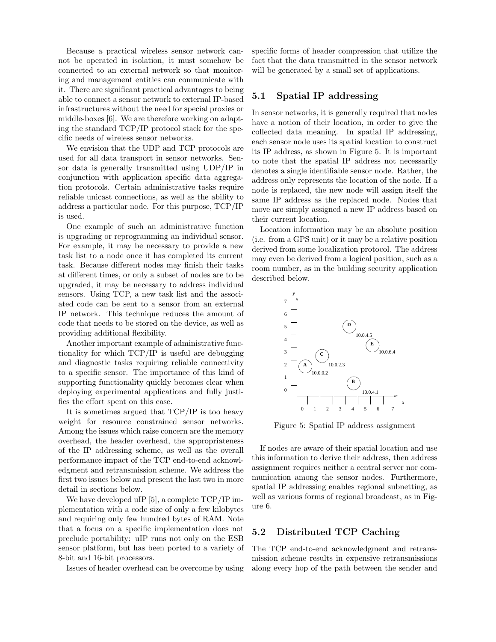Because a practical wireless sensor network cannot be operated in isolation, it must somehow be connected to an external network so that monitoring and management entities can communicate with it. There are significant practical advantages to being able to connect a sensor network to external IP-based infrastructures without the need for special proxies or middle-boxes [6]. We are therefore working on adapting the standard TCP/IP protocol stack for the specific needs of wireless sensor networks.

We envision that the UDP and TCP protocols are used for all data transport in sensor networks. Sensor data is generally transmitted using UDP/IP in conjunction with application specific data aggregation protocols. Certain administrative tasks require reliable unicast connections, as well as the ability to address a particular node. For this purpose, TCP/IP is used.

One example of such an administrative function is upgrading or reprogramming an individual sensor. For example, it may be necessary to provide a new task list to a node once it has completed its current task. Because different nodes may finish their tasks at different times, or only a subset of nodes are to be upgraded, it may be necessary to address individual sensors. Using TCP, a new task list and the associated code can be sent to a sensor from an external IP network. This technique reduces the amount of code that needs to be stored on the device, as well as providing additional flexibility.

Another important example of administrative functionality for which TCP/IP is useful are debugging and diagnostic tasks requiring reliable connectivity to a specific sensor. The importance of this kind of supporting functionality quickly becomes clear when deploying experimental applications and fully justifies the effort spent on this case.

It is sometimes argued that TCP/IP is too heavy weight for resource constrained sensor networks. Among the issues which raise concern are the memory overhead, the header overhead, the appropriateness of the IP addressing scheme, as well as the overall performance impact of the TCP end-to-end acknowledgment and retransmission scheme. We address the first two issues below and present the last two in more detail in sections below.

We have developed uIP [5], a complete  $TCP/IP$  implementation with a code size of only a few kilobytes and requiring only few hundred bytes of RAM. Note that a focus on a specific implementation does not preclude portability: uIP runs not only on the ESB sensor platform, but has been ported to a variety of 8-bit and 16-bit processors.

Issues of header overhead can be overcome by using

specific forms of header compression that utilize the fact that the data transmitted in the sensor network will be generated by a small set of applications.

#### 5.1 Spatial IP addressing

In sensor networks, it is generally required that nodes have a notion of their location, in order to give the collected data meaning. In spatial IP addressing, each sensor node uses its spatial location to construct its IP address, as shown in Figure 5. It is important to note that the spatial IP address not necessarily denotes a single identifiable sensor node. Rather, the address only represents the location of the node. If a node is replaced, the new node will assign itself the same IP address as the replaced node. Nodes that move are simply assigned a new IP address based on their current location.

Location information may be an absolute position (i.e. from a GPS unit) or it may be a relative position derived from some localization protocol. The address may even be derived from a logical position, such as a room number, as in the building security application described below.



Figure 5: Spatial IP address assignment

If nodes are aware of their spatial location and use this information to derive their address, then address assignment requires neither a central server nor communication among the sensor nodes. Furthermore, spatial IP addressing enables regional subnetting, as well as various forms of regional broadcast, as in Figure 6.

#### 5.2 Distributed TCP Caching

The TCP end-to-end acknowledgment and retransmission scheme results in expensive retransmissions along every hop of the path between the sender and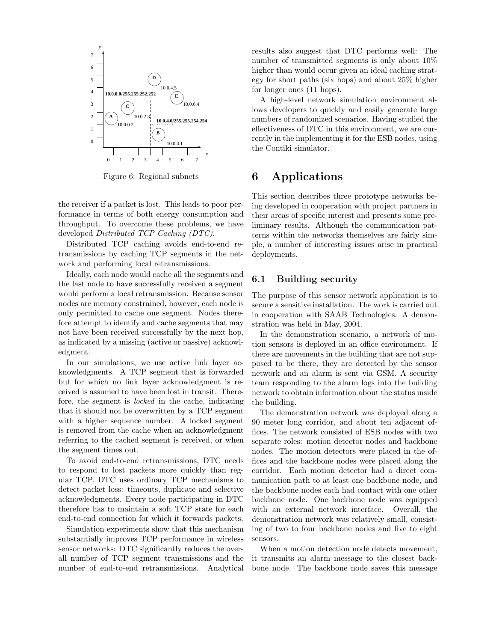

Figure 6: Regional subnets

the receiver if a packet is lost. This leads to poor performance in terms of both energy consumption and throughput. To overcome these problems, we have developed Distributed TCP Caching (DTC).

Distributed TCP caching avoids end-to-end retransmissions by caching TCP segments in the network and performing local retransmissions.

Ideally, each node would cache all the segments and the last node to have successfully received a segment would perform a local retransmission. Because sensor nodes are memory constrained, however, each node is only permitted to cache one segment. Nodes therefore attempt to identify and cache segments that may not have been received successfully by the next hop, as indicated by a missing (active or passive) acknowledgment.

In our simulations, we use active link layer acknowledgments. A TCP segment that is forwarded but for which no link layer acknowledgment is received is assumed to have been lost in transit. Therefore, the segment is locked in the cache, indicating that it should not be overwritten by a TCP segment with a higher sequence number. A locked segment is removed from the cache when an acknowledgment referring to the cached segment is received, or when the segment times out.

To avoid end-to-end retransmissions, DTC needs to respond to lost packets more quickly than regular TCP. DTC uses ordinary TCP mechanisms to detect packet loss: timeouts, duplicate and selective acknowledgments. Every node participating in DTC therefore has to maintain a soft TCP state for each end-to-end connection for which it forwards packets.

Simulation experiments show that this mechanism substantially improves TCP performance in wireless sensor networks: DTC significantly reduces the overall number of TCP segment transmissions and the number of end-to-end retransmissions. Analytical results also suggest that DTC performs well: The number of transmitted segments is only about 10% higher than would occur given an ideal caching strategy for short paths (six hops) and about 25% higher for longer ones (11 hops).

A high-level network simulation environment allows developers to quickly and easily generate large numbers of randomized scenarios. Having studied the effectiveness of DTC in this environment, we are currently in the implementing it for the ESB nodes, using the Contiki simulator.

### 6 Applications

This section describes three prototype networks being developed in cooperation with project partners in their areas of specific interest and presents some preliminary results. Although the communication patterns within the networks themselves are fairly simple, a number of interesting issues arise in practical deployments.

#### 6.1 Building security

The purpose of this sensor network application is to secure a sensitive installation. The work is carried out in cooperation with SAAB Technologies. A demonstration was held in May, 2004.

In the demonstration scenario, a network of motion sensors is deployed in an office environment. If there are movements in the building that are not supposed to be there, they are detected by the sensor network and an alarm is sent via GSM. A security team responding to the alarm logs into the building network to obtain information about the status inside the building.

The demonstration network was deployed along a 90 meter long corridor, and about ten adjacent offices. The network consisted of ESB nodes with two separate roles: motion detector nodes and backbone nodes. The motion detectors were placed in the offices and the backbone nodes were placed along the corridor. Each motion detector had a direct communication path to at least one backbone node, and the backbone nodes each had contact with one other backbone node. One backbone node was equipped with an external network interface. Overall, the demonstration network was relatively small, consisting of two to four backbone nodes and five to eight sensors.

When a motion detection node detects movement, it transmits an alarm message to the closest backbone node. The backbone node saves this message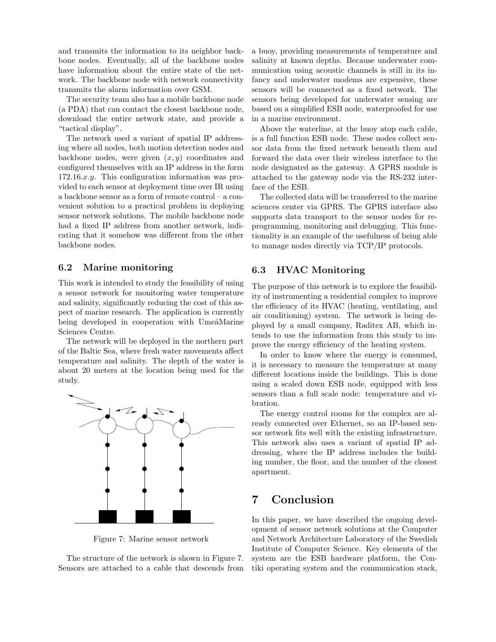and transmits the information to its neighbor backbone nodes. Eventually, all of the backbone nodes have information about the entire state of the network. The backbone node with network connectivity transmits the alarm information over GSM.

The security team also has a mobile backbone node (a PDA) that can contact the closest backbone node, download the entire network state, and provide a "tactical display".

The network used a variant of spatial IP addressing where all nodes, both motion detection nodes and backbone nodes, were given  $(x, y)$  coordinates and configured themselves with an IP address in the form 172.16.x.y. This configuration information was provided to each sensor at deployment time over IR using a backbone sensor as a form of remote control – a convenient solution to a practical problem in deploying sensor network solutions. The mobile backbone node had a fixed IP address from another network, indicating that it somehow was different from the other backbone nodes.

#### 6.2 Marine monitoring

This work is intended to study the feasibility of using a sensor network for monitoring water temperature and salinity, significantly reducing the cost of this aspect of marine research. The application is currently being developed in cooperation with UmeåMarine Sciences Centre.

The network will be deployed in the northern part of the Baltic Sea, where fresh water movements affect temperature and salinity. The depth of the water is about 20 meters at the location being used for the study.



Figure 7: Marine sensor network

The structure of the network is shown in Figure 7. Sensors are attached to a cable that descends from a buoy, providing measurements of temperature and salinity at known depths. Because underwater communication using acoustic channels is still in its infancy and underwater modems are expensive, these sensors will be connected as a fixed network. The sensors being developed for underwater sensing are based on a simplified ESB node, waterproofed for use in a marine environment.

Above the waterline, at the buoy atop each cable, is a full function ESB node. These nodes collect sensor data from the fixed network beneath them and forward the data over their wireless interface to the node designated as the gateway. A GPRS module is attached to the gateway node via the RS-232 interface of the ESB.

The collected data will be transferred to the marine sciences center via GPRS. The GPRS interface also supports data transport to the sensor nodes for reprogramming, monitoring and debugging. This functionality is an example of the usefulness of being able to manage nodes directly via TCP/IP protocols.

#### 6.3 HVAC Monitoring

The purpose of this network is to explore the feasibility of instrumenting a residential complex to improve the efficiency of its HVAC (heating, ventilating, and air conditioning) system. The network is being deployed by a small company, Raditex AB, which intends to use the information from this study to improve the energy efficiency of the heating system.

In order to know where the energy is consumed, it is necessary to measure the temperature at many different locations inside the buildings. This is done using a scaled down ESB node, equipped with less sensors than a full scale node: temperature and vibration.

The energy control rooms for the complex are already connected over Ethernet, so an IP-based sensor network fits well with the existing infrastructure. This network also uses a variant of spatial IP addressing, where the IP address includes the building number, the floor, and the number of the closest apartment.

## 7 Conclusion

In this paper, we have described the ongoing development of sensor network solutions at the Computer and Network Architecture Laboratory of the Swedish Institute of Computer Science. Key elements of the system are the ESB hardware platform, the Contiki operating system and the communication stack,